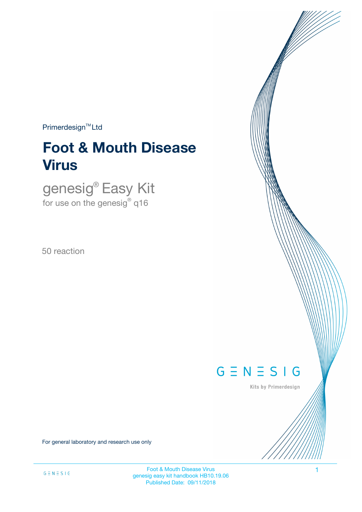$Primerdesign^{TM}Ltd$ 

# **Foot & Mouth Disease Virus**

genesig® Easy Kit for use on the genesig $^\circ$  q16

50 reaction



Kits by Primerdesign

For general laboratory and research use only

Foot & Mouth Disease Virus 1 genesig easy kit handbook HB10.19.06 Published Date: 09/11/2018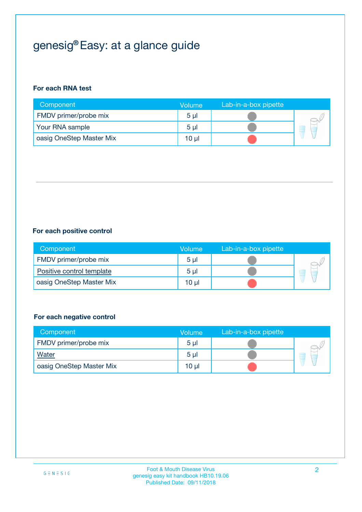## genesig® Easy: at a glance guide

#### **For each RNA test**

| Component                | <b>Volume</b>  | Lab-in-a-box pipette |  |
|--------------------------|----------------|----------------------|--|
| FMDV primer/probe mix    | 5 <sub>µ</sub> |                      |  |
| Your RNA sample          | 5 <sub>µ</sub> |                      |  |
| oasig OneStep Master Mix | 10 µl          |                      |  |

#### **For each positive control**

| Component                 | Volume         | Lab-in-a-box pipette |  |
|---------------------------|----------------|----------------------|--|
| FMDV primer/probe mix     | 5 <sub>µ</sub> |                      |  |
| Positive control template | 5 <sub>µ</sub> |                      |  |
| oasig OneStep Master Mix  | 10 µl          |                      |  |

#### **For each negative control**

| Component                | <b>Volume</b>  | Lab-in-a-box pipette |   |
|--------------------------|----------------|----------------------|---|
| FMDV primer/probe mix    | 5 <sub>µ</sub> |                      |   |
| <b>Water</b>             | 5 <sub>µ</sub> |                      | Ē |
| oasig OneStep Master Mix | $10 \mu$       |                      |   |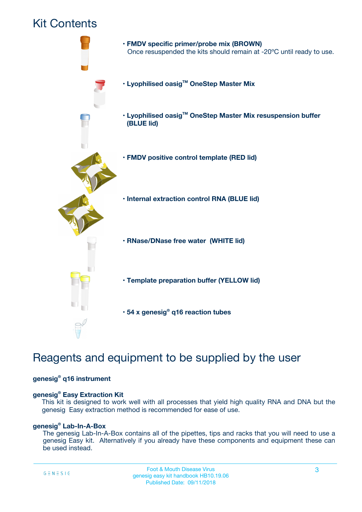### Kit Contents



## Reagents and equipment to be supplied by the user

#### **genesig® q16 instrument**

#### **genesig® Easy Extraction Kit**

This kit is designed to work well with all processes that yield high quality RNA and DNA but the genesig Easy extraction method is recommended for ease of use.

#### **genesig® Lab-In-A-Box**

The genesig Lab-In-A-Box contains all of the pipettes, tips and racks that you will need to use a genesig Easy kit. Alternatively if you already have these components and equipment these can be used instead.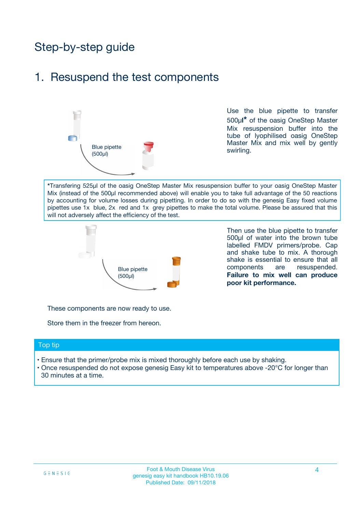## Step-by-step guide

### 1. Resuspend the test components



Use the blue pipette to transfer 500µ**l\*** of the oasig OneStep Master Mix resuspension buffer into the tube of lyophilised oasig OneStep Master Mix and mix well by gently swirling.

**\***Transfering 525µl of the oasig OneStep Master Mix resuspension buffer to your oasig OneStep Master Mix (instead of the 500µl recommended above) will enable you to take full advantage of the 50 reactions by accounting for volume losses during pipetting. In order to do so with the genesig Easy fixed volume pipettes use 1x blue, 2x red and 1x grey pipettes to make the total volume. Please be assured that this will not adversely affect the efficiency of the test.



Then use the blue pipette to transfer 500µl of water into the brown tube labelled FMDV primers/probe. Cap and shake tube to mix. A thorough shake is essential to ensure that all components are resuspended. **Failure to mix well can produce poor kit performance.**

These components are now ready to use.

Store them in the freezer from hereon.

#### Top tip

- Ensure that the primer/probe mix is mixed thoroughly before each use by shaking.
- Once resuspended do not expose genesig Easy kit to temperatures above -20°C for longer than 30 minutes at a time.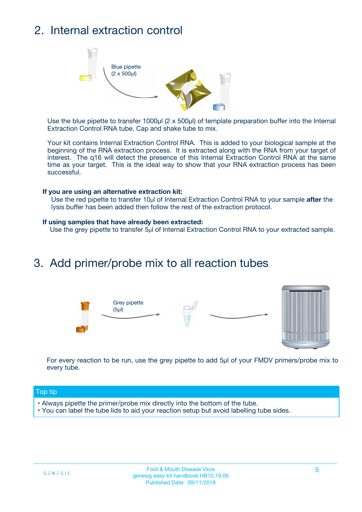## 2. Internal extraction control



Use the blue pipette to transfer 1000µl (2 x 500µl) of template preparation buffer into the Internal Extraction Control RNA tube. Cap and shake tube to mix.

Your kit contains Internal Extraction Control RNA. This is added to your biological sample at the beginning of the RNA extraction process. It is extracted along with the RNA from your target of interest. The q16 will detect the presence of this Internal Extraction Control RNA at the same time as your target. This is the ideal way to show that your RNA extraction process has been successful.

#### **If you are using an alternative extraction kit:**

Use the red pipette to transfer 10µl of Internal Extraction Control RNA to your sample **after** the lysis buffer has been added then follow the rest of the extraction protocol.

#### **If using samples that have already been extracted:**

Use the grey pipette to transfer 5µl of Internal Extraction Control RNA to your extracted sample.

### 3. Add primer/probe mix to all reaction tubes





For every reaction to be run, use the grey pipette to add 5µl of your FMDV primers/probe mix to every tube.

#### Top tip

- Always pipette the primer/probe mix directly into the bottom of the tube.
- You can label the tube lids to aid your reaction setup but avoid labelling tube sides.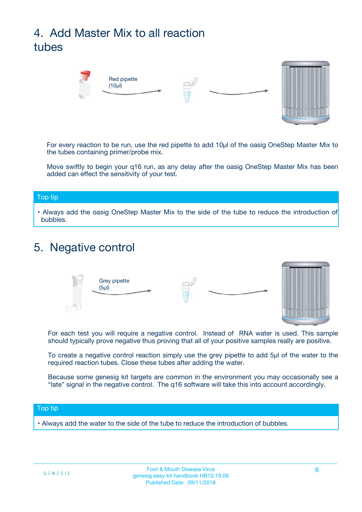## 4. Add Master Mix to all reaction tubes



For every reaction to be run, use the red pipette to add 10µl of the oasig OneStep Master Mix to the tubes containing primer/probe mix.

Move swiftly to begin your q16 run, as any delay after the oasig OneStep Master Mix has been added can effect the sensitivity of your test.

#### Top tip

**•** Always add the oasig OneStep Master Mix to the side of the tube to reduce the introduction of bubbles.

### 5. Negative control



For each test you will require a negative control. Instead of RNA water is used. This sample should typically prove negative thus proving that all of your positive samples really are positive.

To create a negative control reaction simply use the grey pipette to add 5µl of the water to the required reaction tubes. Close these tubes after adding the water.

Because some genesig kit targets are common in the environment you may occasionally see a "late" signal in the negative control. The q16 software will take this into account accordingly.

#### Top tip

**•** Always add the water to the side of the tube to reduce the introduction of bubbles.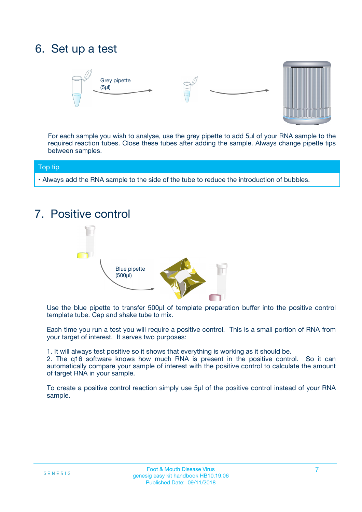## 6. Set up a test





For each sample you wish to analyse, use the grey pipette to add 5µl of your RNA sample to the required reaction tubes. Close these tubes after adding the sample. Always change pipette tips between samples.

#### Top tip

**•** Always add the RNA sample to the side of the tube to reduce the introduction of bubbles.

## 7. Positive control



Use the blue pipette to transfer 500µl of template preparation buffer into the positive control template tube. Cap and shake tube to mix.

Each time you run a test you will require a positive control. This is a small portion of RNA from your target of interest. It serves two purposes:

1. It will always test positive so it shows that everything is working as it should be.

2. The q16 software knows how much RNA is present in the positive control. So it can automatically compare your sample of interest with the positive control to calculate the amount of target RNA in your sample.

To create a positive control reaction simply use 5µl of the positive control instead of your RNA sample.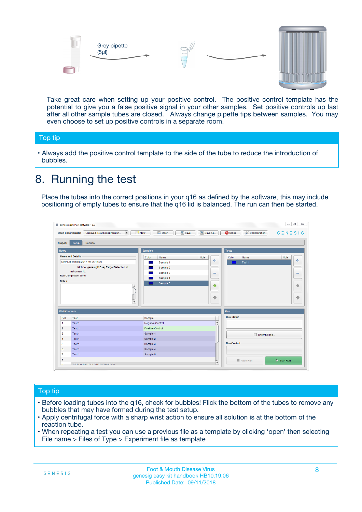



Take great care when setting up your positive control. The positive control template has the potential to give you a false positive signal in your other samples. Set positive controls up last after all other sample tubes are closed. Always change pipette tips between samples. You may even choose to set up positive controls in a separate room.

#### Top tip

**•** Always add the positive control template to the side of the tube to reduce the introduction of bubbles.

## 8. Running the test

Place the tubes into the correct positions in your q16 as defined by the software, this may include positioning of empty tubes to ensure that the q16 lid is balanced. The run can then be started.

|                      | genesig q16 PCR software - 1.2                                                          |                                  | $\Box$                                                                       |
|----------------------|-----------------------------------------------------------------------------------------|----------------------------------|------------------------------------------------------------------------------|
|                      | $N$ ew<br><b>Open Experiments:</b><br>Unsaved (New Experiment 2<br>$\blacktriangledown$ | <b>E</b> Open<br>Save<br>Save As | $G \equiv N \equiv S \mid G$<br><b>C</b> Close<br><b>&amp; Configuration</b> |
| <b>Stages:</b>       | Setup<br><b>Results</b>                                                                 |                                  |                                                                              |
| <b>Notes</b>         |                                                                                         | <b>Samples</b>                   | <b>Tests</b>                                                                 |
|                      | <b>Name and Details</b>                                                                 | Color<br>Note<br>Name            | Color<br>Note<br>Name                                                        |
|                      | New Experiment 2017-10-26 11:06                                                         | Sample 1                         | على<br>4<br>Test 1                                                           |
|                      | Kit type: genesig® Easy Target Detection kit                                            | Sample 2                         |                                                                              |
|                      | Instrument Id.:                                                                         | Sample 3                         | $\equiv$<br>$\equiv$                                                         |
|                      | <b>Run Completion Time:</b>                                                             | Sample 4                         |                                                                              |
| <b>Notes</b>         | $\blacktriangle$                                                                        | Sample 5                         | 企<br>40                                                                      |
|                      | $\overline{\mathbf{v}}$                                                                 |                                  | ÷<br>⊕                                                                       |
| <b>Well Contents</b> |                                                                                         |                                  | Run                                                                          |
| Pos.                 | Test                                                                                    | Sample                           | <b>Run Status</b>                                                            |
| -1                   | Test 1                                                                                  | Negative Control                 | $\blacktriangle$                                                             |
| $\overline{2}$       | Test 1                                                                                  | Positive Control                 |                                                                              |
| 3                    | Test 1                                                                                  | Sample 1                         | Show full log                                                                |
| $\overline{4}$       | Test 1                                                                                  | Sample 2                         |                                                                              |
| 5                    | Test 1                                                                                  | Sample 3                         | <b>Run Control</b>                                                           |
| 6                    | Test 1                                                                                  | Sample 4                         |                                                                              |
| $\overline{7}$       | Test 1                                                                                  | Sample 5                         |                                                                              |
| 8                    |                                                                                         |                                  | $\triangleright$ Start Run<br>■ Abort Run                                    |
| ◡                    | <b><i>ADD FURTHER COLLANDELIA</i></b>                                                   |                                  | $\overline{\mathbf{v}}$                                                      |

#### Top tip

- Before loading tubes into the q16, check for bubbles! Flick the bottom of the tubes to remove any bubbles that may have formed during the test setup.
- Apply centrifugal force with a sharp wrist action to ensure all solution is at the bottom of the reaction tube.
- When repeating a test you can use a previous file as a template by clicking 'open' then selecting File name > Files of Type > Experiment file as template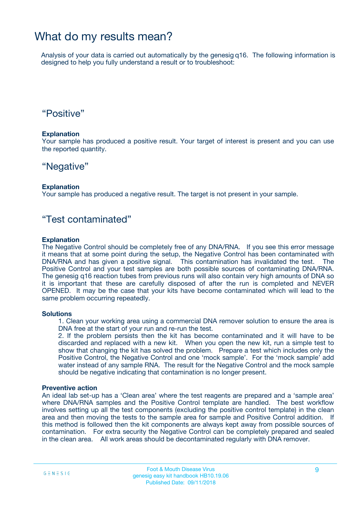### What do my results mean?

Analysis of your data is carried out automatically by the genesig q16. The following information is designed to help you fully understand a result or to troubleshoot:

### "Positive"

#### **Explanation**

Your sample has produced a positive result. Your target of interest is present and you can use the reported quantity.

### "Negative"

#### **Explanation**

Your sample has produced a negative result. The target is not present in your sample.

### "Test contaminated"

#### **Explanation**

The Negative Control should be completely free of any DNA/RNA. If you see this error message it means that at some point during the setup, the Negative Control has been contaminated with DNA/RNA and has given a positive signal. This contamination has invalidated the test. The Positive Control and your test samples are both possible sources of contaminating DNA/RNA. The genesig q16 reaction tubes from previous runs will also contain very high amounts of DNA so it is important that these are carefully disposed of after the run is completed and NEVER OPENED. It may be the case that your kits have become contaminated which will lead to the same problem occurring repeatedly.

#### **Solutions**

1. Clean your working area using a commercial DNA remover solution to ensure the area is DNA free at the start of your run and re-run the test.

2. If the problem persists then the kit has become contaminated and it will have to be discarded and replaced with a new kit. When you open the new kit, run a simple test to show that changing the kit has solved the problem. Prepare a test which includes only the Positive Control, the Negative Control and one 'mock sample'. For the 'mock sample' add water instead of any sample RNA. The result for the Negative Control and the mock sample should be negative indicating that contamination is no longer present.

#### **Preventive action**

An ideal lab set-up has a 'Clean area' where the test reagents are prepared and a 'sample area' where DNA/RNA samples and the Positive Control template are handled. The best workflow involves setting up all the test components (excluding the positive control template) in the clean area and then moving the tests to the sample area for sample and Positive Control addition. If this method is followed then the kit components are always kept away from possible sources of contamination. For extra security the Negative Control can be completely prepared and sealed in the clean area. All work areas should be decontaminated regularly with DNA remover.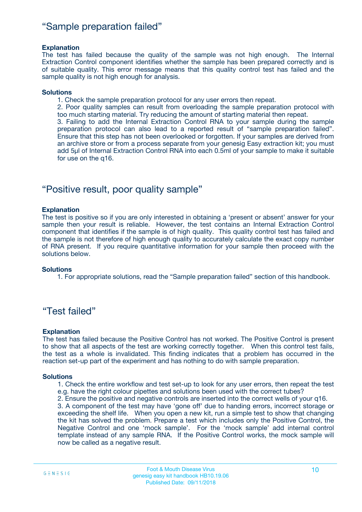### "Sample preparation failed"

#### **Explanation**

The test has failed because the quality of the sample was not high enough. The Internal Extraction Control component identifies whether the sample has been prepared correctly and is of suitable quality. This error message means that this quality control test has failed and the sample quality is not high enough for analysis.

#### **Solutions**

1. Check the sample preparation protocol for any user errors then repeat.

2. Poor quality samples can result from overloading the sample preparation protocol with too much starting material. Try reducing the amount of starting material then repeat.

3. Failing to add the Internal Extraction Control RNA to your sample during the sample preparation protocol can also lead to a reported result of "sample preparation failed". Ensure that this step has not been overlooked or forgotten. If your samples are derived from an archive store or from a process separate from your genesig Easy extraction kit; you must add 5µl of Internal Extraction Control RNA into each 0.5ml of your sample to make it suitable for use on the q16.

### "Positive result, poor quality sample"

#### **Explanation**

The test is positive so if you are only interested in obtaining a 'present or absent' answer for your sample then your result is reliable. However, the test contains an Internal Extraction Control component that identifies if the sample is of high quality. This quality control test has failed and the sample is not therefore of high enough quality to accurately calculate the exact copy number of RNA present. If you require quantitative information for your sample then proceed with the solutions below.

#### **Solutions**

1. For appropriate solutions, read the "Sample preparation failed" section of this handbook.

### "Test failed"

#### **Explanation**

The test has failed because the Positive Control has not worked. The Positive Control is present to show that all aspects of the test are working correctly together. When this control test fails, the test as a whole is invalidated. This finding indicates that a problem has occurred in the reaction set-up part of the experiment and has nothing to do with sample preparation.

#### **Solutions**

- 1. Check the entire workflow and test set-up to look for any user errors, then repeat the test e.g. have the right colour pipettes and solutions been used with the correct tubes?
- 2. Ensure the positive and negative controls are inserted into the correct wells of your q16.

3. A component of the test may have 'gone off' due to handing errors, incorrect storage or exceeding the shelf life. When you open a new kit, run a simple test to show that changing the kit has solved the problem. Prepare a test which includes only the Positive Control, the Negative Control and one 'mock sample'. For the 'mock sample' add internal control template instead of any sample RNA. If the Positive Control works, the mock sample will now be called as a negative result.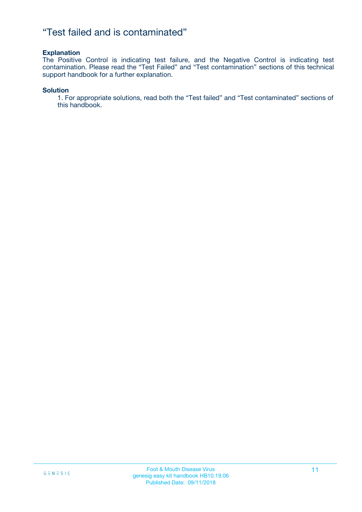### "Test failed and is contaminated"

#### **Explanation**

The Positive Control is indicating test failure, and the Negative Control is indicating test contamination. Please read the "Test Failed" and "Test contamination" sections of this technical support handbook for a further explanation.

#### **Solution**

1. For appropriate solutions, read both the "Test failed" and "Test contaminated" sections of this handbook.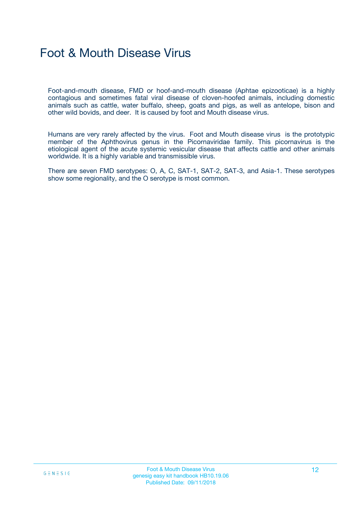## Foot & Mouth Disease Virus

Foot-and-mouth disease, FMD or hoof-and-mouth disease (Aphtae epizooticae) is a highly contagious and sometimes fatal viral disease of cloven-hoofed animals, including domestic animals such as cattle, water buffalo, sheep, goats and pigs, as well as antelope, bison and other wild bovids, and deer. It is caused by foot and Mouth disease virus.

Humans are very rarely affected by the virus. Foot and Mouth disease virus is the prototypic member of the Aphthovirus genus in the Picornaviridae family. This picornavirus is the etiological agent of the acute systemic vesicular disease that affects cattle and other animals worldwide. It is a highly variable and transmissible virus.

There are seven FMD serotypes: O, A, C, SAT-1, SAT-2, SAT-3, and Asia-1. These serotypes show some regionality, and the O serotype is most common.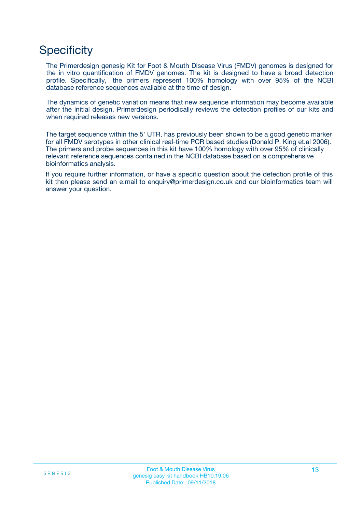## **Specificity**

The Primerdesign genesig Kit for Foot & Mouth Disease Virus (FMDV) genomes is designed for the in vitro quantification of FMDV genomes. The kit is designed to have a broad detection profile. Specifically, the primers represent 100% homology with over 95% of the NCBI database reference sequences available at the time of design.

The dynamics of genetic variation means that new sequence information may become available after the initial design. Primerdesign periodically reviews the detection profiles of our kits and when required releases new versions.

The target sequence within the 5' UTR, has previously been shown to be a good genetic marker for all FMDV serotypes in other clinical real-time PCR based studies (Donald P. King et.al 2006). The primers and probe sequences in this kit have 100% homology with over 95% of clinically relevant reference sequences contained in the NCBI database based on a comprehensive bioinformatics analysis.

If you require further information, or have a specific question about the detection profile of this kit then please send an e.mail to enquiry@primerdesign.co.uk and our bioinformatics team will answer your question.